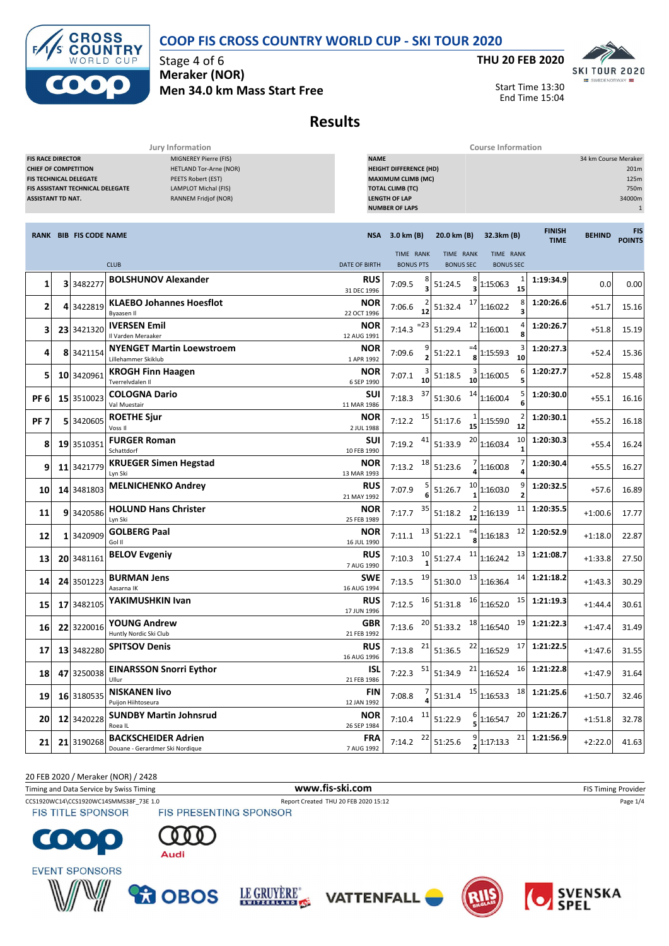### **COOP FIS CROSS COUNTRY WORLD CUP - SKI TOUR 2020**



Stage 4 of 6 **Meraker (NOR) Men 34.0 km Mass Start Free**



Start Time 13:30 End Time 15:04

## **Results**

**Jury Information Course Information**

| MIGNEREY Pierre (FIS)<br><b>FIS RACE DIRECTOR</b><br><b>HETLAND Tor-Arne (NOR)</b><br><b>CHIEF OF COMPETITION</b><br>PEETS Robert (EST)<br>FIS TECHNICAL DELEGATE<br><b>LAMPLOT Michal (FIS)</b><br><b>FIS ASSISTANT TECHNICAL DELEGATE</b><br><b>ASSISTANT TD NAT.</b><br>RANNEM Fridjof (NOR) |    |                        | <b>NAME</b><br><b>HEIGHT DIFFERENCE (HD)</b><br><b>MAXIMUM CLIMB (MC)</b><br><b>TOTAL CLIMB (TC)</b><br><b>LENGTH OF LAP</b><br><b>NUMBER OF LAPS</b> |                           |                               |                               |                               |                              | 34 km Course Meraker<br>201m<br>125m<br>750m<br>34000m<br>$\mathbf{1}$ |                             |
|-------------------------------------------------------------------------------------------------------------------------------------------------------------------------------------------------------------------------------------------------------------------------------------------------|----|------------------------|-------------------------------------------------------------------------------------------------------------------------------------------------------|---------------------------|-------------------------------|-------------------------------|-------------------------------|------------------------------|------------------------------------------------------------------------|-----------------------------|
|                                                                                                                                                                                                                                                                                                 |    | RANK BIB FIS CODE NAME |                                                                                                                                                       |                           | NSA 3.0 km (B)                | 20.0 km (B)                   | 32.3km (B)                    | <b>FINISH</b><br><b>TIME</b> | <b>BEHIND</b>                                                          | <b>FIS</b><br><b>POINTS</b> |
|                                                                                                                                                                                                                                                                                                 |    |                        | <b>CLUB</b>                                                                                                                                           | <b>DATE OF BIRTH</b>      | TIME RANK<br><b>BONUS PTS</b> | TIME RANK<br><b>BONUS SEC</b> | TIME RANK<br><b>BONUS SEC</b> |                              |                                                                        |                             |
| 1                                                                                                                                                                                                                                                                                               |    | 3 3482277              | <b>BOLSHUNOV Alexander</b>                                                                                                                            | <b>RUS</b><br>31 DEC 1996 | 8<br>7:09.5<br>З              | 8<br>51:24.5<br>3             | 1<br>1:15:06.3<br>15          | 1:19:34.9                    | 0.0                                                                    | 0.00                        |
| 2                                                                                                                                                                                                                                                                                               |    | 4 3422819              | <b>KLAEBO Johannes Hoesflot</b><br><b>Byaasen II</b>                                                                                                  | NOR<br>22 OCT 1996        | 7:06.6<br>12                  | 17<br>51:32.4                 | 8<br>1:16:02.2                | 1:20:26.6                    | $+51.7$                                                                | 15.16                       |
| 3                                                                                                                                                                                                                                                                                               |    | 23 3421320             | <b>IVERSEN Emil</b><br>Il Varden Meraaker                                                                                                             | <b>NOR</b><br>12 AUG 1991 | =23<br>7:14.3                 | 12<br>51:29.4                 | 1:16:00.1                     | 1:20:26.7                    | $+51.8$                                                                | 15.19                       |
| 4                                                                                                                                                                                                                                                                                               |    | 8 3421154              | <b>NYENGET Martin Loewstroem</b><br>Lillehammer Skiklub                                                                                               | NOR<br>1 APR 1992         | 7:09.6                        | $=4$<br>51:22.1               | 1:15:59.3<br>10               | 1:20:27.3                    | $+52.4$                                                                | 15.36                       |
| 5                                                                                                                                                                                                                                                                                               |    | 10 3420961             | <b>KROGH Finn Haagen</b><br>Tverrelvdalen Il                                                                                                          | NOR<br>6 SEP 1990         | 7:07.1<br>10                  | 51:18.5<br>10                 | 6<br>1:16:00.5                | 1:20:27.7                    | $+52.8$                                                                | 15.48                       |
| PF <sub>6</sub>                                                                                                                                                                                                                                                                                 |    | 15 3510023             | <b>COLOGNA Dario</b><br>Val Muestair                                                                                                                  | SUI<br>11 MAR 1986        | 37<br>7:18.3                  | 14<br>51:30.6                 | 5<br>1:16:00.4<br>6           | 1:20:30.0                    | $+55.1$                                                                | 16.16                       |
| PF <sub>7</sub>                                                                                                                                                                                                                                                                                 |    | 5 3420605              | <b>ROETHE Sjur</b><br>Voss II                                                                                                                         | <b>NOR</b><br>2 JUL 1988  | 15<br>7:12.2                  | 51:17.6                       | 2<br>1:15:59.0<br>12          | 1:20:30.1                    | $+55.2$                                                                | 16.18                       |
| 8                                                                                                                                                                                                                                                                                               |    | 19 3510351             | <b>FURGER Roman</b><br>Schattdorf                                                                                                                     | SUI<br>10 FEB 1990        | 41<br>7:19.2                  | 20<br>51:33.9                 | 10<br>1:16:03.4               | 1:20:30.3                    | $+55.4$                                                                | 16.24                       |
| 9                                                                                                                                                                                                                                                                                               |    | 11 3421779             | <b>KRUEGER Simen Hegstad</b><br>Lyn Ski                                                                                                               | NOR<br>13 MAR 1993        | 18<br>7:13.2                  | 51:23.6                       | 1:16:00.8<br>4                | 1:20:30.4                    | $+55.5$                                                                | 16.27                       |
| 10                                                                                                                                                                                                                                                                                              |    | 14 3481803             | <b>MELNICHENKO Andrey</b>                                                                                                                             | <b>RUS</b><br>21 MAY 1992 | 7:07.9                        | 10<br>51:26.7                 | 9<br>1:16:03.0                | 1:20:32.5                    | $+57.6$                                                                | 16.89                       |
| 11                                                                                                                                                                                                                                                                                              |    | 9 3420586              | <b>HOLUND Hans Christer</b><br>Lyn Ski                                                                                                                | NOR<br>25 FEB 1989        | 35<br>7:17.7                  | 51:18.2<br>12                 | 11<br>1:16:13.9               | 1:20:35.5                    | $+1:00.6$                                                              | 17.77                       |
| 12                                                                                                                                                                                                                                                                                              | 11 | 3420909                | <b>GOLBERG Paal</b><br>Gol II                                                                                                                         | <b>NOR</b><br>16 JUL 1990 | 13<br>7:11.1                  | $=4$<br>51:22.1               | 12<br>1:16:18.3               | 1:20:52.9                    | $+1:18.0$                                                              | 22.87                       |
| 13                                                                                                                                                                                                                                                                                              |    | 20 3481161             | <b>BELOV Evgeniy</b>                                                                                                                                  | <b>RUS</b><br>7 AUG 1990  | 10<br>7:10.3                  | 11<br>51:27.4                 | 13<br>1:16:24.2               | 1:21:08.7                    | $+1:33.8$                                                              | 27.50                       |
| 14                                                                                                                                                                                                                                                                                              |    | 24 3501223             | <b>BURMAN Jens</b><br>Aasarna IK                                                                                                                      | SWE<br>16 AUG 1994        | 19<br>7:13.5                  | 13<br>51:30.0                 | 14<br>1:16:36.4               | 1:21:18.2                    | $+1:43.3$                                                              | 30.29                       |
| 15                                                                                                                                                                                                                                                                                              |    | 17 3482105             | YAKIMUSHKIN Ivan                                                                                                                                      | <b>RUS</b><br>17 JUN 1996 | 16<br>7:12.5                  | 16<br>51:31.8                 | 15<br>1:16:52.0               | 1:21:19.3                    | $+1:44.4$                                                              | 30.61                       |
| 16                                                                                                                                                                                                                                                                                              |    | 22 3220016             | <b>YOUNG Andrew</b><br>Huntly Nordic Ski Club                                                                                                         | GBR<br>21 FEB 1992        | 20<br>7:13.6                  | 18<br>51:33.2                 | 19<br>1:16:54.0               | 1:21:22.3                    | $+1:47.4$                                                              | 31.49                       |
| 17                                                                                                                                                                                                                                                                                              |    | 13 3482280             | <b>SPITSOV Denis</b>                                                                                                                                  | <b>RUS</b><br>16 AUG 1996 | 21<br>7:13.8                  | 51:36.5                       | 17<br>$22$ 1:16:52.9          | 1:21:22.5                    | $+1:47.6$                                                              | 31.55                       |
| 18                                                                                                                                                                                                                                                                                              |    | 47 3250038             | <b>EINARSSON Snorri Eythor</b><br>Ullur                                                                                                               | ISL<br>21 FEB 1986        | 51<br>7:22.3                  | 21<br>51:34.9                 | 16<br>1:16:52.4               | 1:21:22.8                    | $+1:47.9$                                                              | 31.64                       |
| 19                                                                                                                                                                                                                                                                                              |    | 16 3180535             | <b>NISKANEN livo</b><br>Puijon Hiihtoseura                                                                                                            | <b>FIN</b><br>12 JAN 1992 | 7:08.8                        | 15<br>51:31.4                 | 1:16:53.3                     | 18 1:21:25.6                 | $+1:50.7$                                                              | 32.46                       |
| 20                                                                                                                                                                                                                                                                                              |    | 12 3420228             | <b>SUNDBY Martin Johnsrud</b><br>Roea IL                                                                                                              | <b>NOR</b><br>26 SEP 1984 | 11<br>7:10.4                  | 51:22.9                       | 1:16:54.7                     | 20 1:21:26.7                 | $+1:51.8$                                                              | 32.78                       |
| 21                                                                                                                                                                                                                                                                                              |    | 21 3190268             | <b>BACKSCHEIDER Adrien</b><br>Douane - Gerardmer Ski Nordique                                                                                         | <b>FRA</b><br>7 AUG 1992  | 22<br>7:14.2                  | 51:25.6<br>2                  | 21<br>1:17:13.3               | 1:21:56.9                    | $+2:22.0$                                                              | 41.63                       |

20 FEB 2020 / Meraker (NOR) / 2428

CCS1920WC14\CCS1920WC14SMMS38F\_73E 1.0 Report Created THU 20 FEB 2020 15:12 Page 1/4<br>
FIS TITLE SPONSOR FIS PRESENTING SPONSOR Timing and Data Service by Swiss Timing **WWW.fis-Ski.com WWW.fis-Ski.com** FIS Timing Provider

**FIS TITLE SPONSOR** 















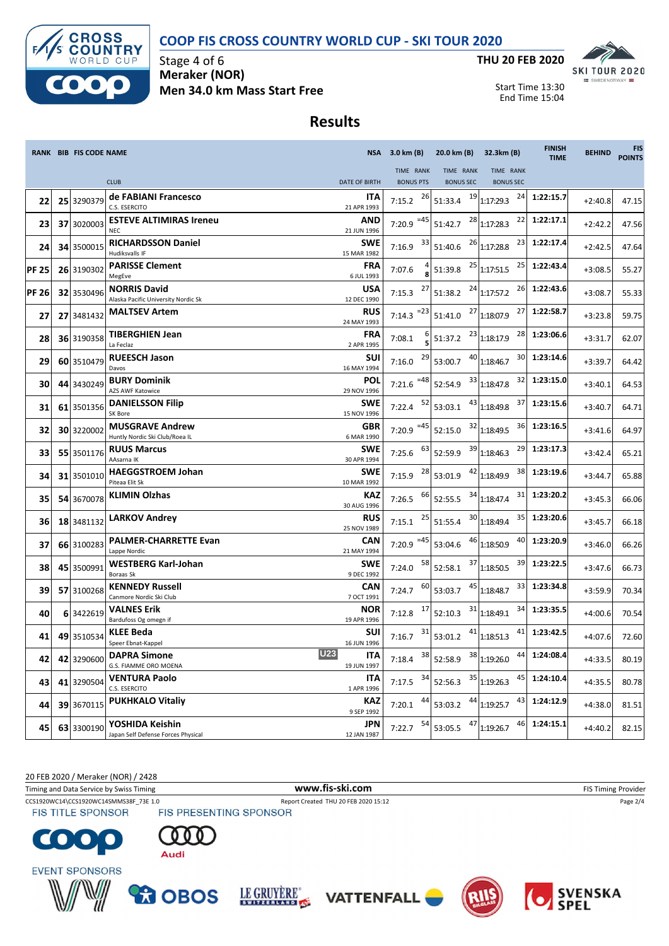### **COOP FIS CROSS COUNTRY WORLD CUP - SKI TOUR 2020**



Stage 4 of 6 **Meraker (NOR) Men 34.0 km Mass Start Free**



Start Time 13:30 End Time 15:04

## **Results**

|              | <b>RANK BIB FIS CODE NAME</b> |                                                            |                                  | NSA 3.0 km (B)         | 20.0 km (B)      | 32.3km (B)                      | <b>FINISH</b><br><b>TIME</b> | <b>BEHIND</b> | <b>FIS</b><br><b>POINTS</b> |
|--------------|-------------------------------|------------------------------------------------------------|----------------------------------|------------------------|------------------|---------------------------------|------------------------------|---------------|-----------------------------|
|              |                               |                                                            |                                  | TIME RANK              | TIME RANK        | TIME RANK                       |                              |               |                             |
|              |                               | <b>CLUB</b><br>de FABIANI Francesco                        | <b>DATE OF BIRTH</b><br>ITA      | <b>BONUS PTS</b><br>26 | <b>BONUS SEC</b> | <b>BONUS SEC</b><br>24          | 1:22:15.7                    |               |                             |
| 22           | 25 3290379                    | C.S. ESERCITO                                              | 21 APR 1993                      | 7:15.2                 | 51:33.4          | $19$ <sub>1:17:29.3</sub>       |                              | $+2:40.8$     | 47.15                       |
| 23           | 37 3020003                    | <b>ESTEVE ALTIMIRAS Ireneu</b><br><b>NEC</b>               | AND<br>21 JUN 1996               | 7:20.9 $^{-45}$        | 51:42.7          | 22<br>$28$ <sub>1:17:28.3</sub> | 1:22:17.1                    | $+2:42.2$     | 47.56                       |
| 24           | 34 3500015                    | <b>RICHARDSSON Daniel</b><br>Hudiksvalls IF                | <b>SWE</b><br>15 MAR 1982        | 33<br>7:16.9           | 51:40.6          | $26$ <sub>1:17:28.8</sub><br>23 | 1:22:17.4                    | $+2:42.5$     | 47.64                       |
| <b>PF 25</b> | 26 3190302                    | <b>PARISSE Clement</b><br>MegEve                           | <b>FRA</b><br>6 JUL 1993         | 7:07.6                 | 51:39.8          | $25$ 1:17:51.5<br>25            | 1:22:43.4                    | $+3:08.5$     | 55.27                       |
| <b>PF 26</b> | 32 3530496                    | <b>NORRIS David</b><br>Alaska Pacific University Nordic Sk | USA<br>12 DEC 1990               | 27<br>7:15.3           | 51:38.2          | $24$ 1:17:57.2<br>26            | 1:22:43.6                    | $+3:08.7$     | 55.33                       |
| 27           | 27 3481432                    | <b>MALTSEV Artem</b>                                       | <b>RUS</b><br>24 MAY 1993        | $= 23$<br>7:14.3       | 27<br>51:41.0    | 27<br>1:18:07.9                 | 1:22:58.7                    | $+3:23.8$     | 59.75                       |
| 28           | 36 3190358                    | <b>TIBERGHIEN Jean</b><br>La Feclaz                        | <b>FRA</b><br>2 APR 1995         | 7:08.1                 | 51:37.2          | $23$ <sub>1:18:17.9</sub><br>28 | 1:23:06.6                    | +3:31.7       | 62.07                       |
| 29           | 60 3510479                    | <b>RUEESCH Jason</b><br>Davos                              | SUI<br>16 MAY 1994               | 29<br>7:16.0           | 53:00.7          | $40$ <sub>1:18:46.7</sub><br>30 | 1:23:14.6                    | $+3:39.7$     | 64.42                       |
| 30           | 44 3430249                    | <b>BURY Dominik</b><br><b>AZS AWF Katowice</b>             | POL<br>29 NOV 1996               | $=48$<br>7:21.6        | 52:54.9          | $33$ 1:18:47.8<br>32            | 1:23:15.0                    | $+3:40.1$     | 64.53                       |
| 31           | 61 3501356                    | <b>DANIELSSON Filip</b><br>SK Bore                         | SWE<br>15 NOV 1996               | 52<br>7:22.4           | 53:03.1          | $43$ 1:18:49.8<br>37            | 1:23:15.6                    | $+3:40.7$     | 64.71                       |
| 32           | 30 3220002                    | <b>MUSGRAVE Andrew</b><br>Huntly Nordic Ski Club/Roea IL   | <b>GBR</b><br>6 MAR 1990         | 7:20.9 $=45$           | 52:15.0          | 32 1:18:49.5<br>36              | 1:23:16.5                    | $+3:41.6$     | 64.97                       |
| 33           | 55 3501176                    | <b>RUUS Marcus</b><br>AAsarna IK                           | <b>SWE</b><br>30 APR 1994        | 63<br>7:25.6           | 52:59.9          | 29<br>$39$ 1:18:46.3            | 1:23:17.3                    | $+3:42.4$     | 65.21                       |
| 34           | 31 3501010                    | <b>HAEGGSTROEM Johan</b><br>Piteaa Elit Sk                 | SWE<br>10 MAR 1992               | 28<br>7:15.9           | 53:01.9          | 38<br>$42$ 1:18:49.9            | 1:23:19.6                    | $+3:44.7$     | 65.88                       |
| 35           | 54 3670078                    | <b>KLIMIN Olzhas</b>                                       | KAZ<br>30 AUG 1996               | 66<br>7:26.5           | 52:55.5          | $34$ 1:18:47.4<br>31            | 1:23:20.2                    | $+3:45.3$     | 66.06                       |
| 36           | 18 3481132                    | <b>LARKOV Andrey</b>                                       | <b>RUS</b><br>25 NOV 1989        | 25<br>7:15.1           | 51:55.4          | $30$ <sub>1:18:49.4</sub><br>35 | 1:23:20.6                    | $+3:45.7$     | 66.18                       |
| 37           | 66 3100283                    | <b>PALMER-CHARRETTE Evan</b><br>Lappe Nordic               | <b>CAN</b><br>21 MAY 1994        | 7:20.9 $=45$           | 53:04.6          | 40<br>$46$ <sub>1:18:50.9</sub> | 1:23:20.9                    | $+3:46.0$     | 66.26                       |
| 38           | 45 3500991                    | <b>WESTBERG Karl-Johan</b><br>Boraas Sk                    | <b>SWE</b><br>9 DEC 1992         | 58<br>7:24.0           | 37<br>52:58.1    | 39<br>1:18:50.5                 | 1:23:22.5                    | $+3:47.6$     | 66.73                       |
| 39           | 57 3100268                    | <b>KENNEDY Russell</b><br>Canmore Nordic Ski Club          | CAN<br>7 OCT 1991                | 60<br>7:24.7           | 53:03.7          | $45$ <sub>1:18:48.7</sub><br>33 | 1:23:34.8                    | $+3:59.9$     | 70.34                       |
| 40           | 6 3422619                     | VALNES Erik<br>Bardufoss Og omegn if                       | NOR<br>19 APR 1996               | 17<br>7:12.8           | 52:10.3          | $31$ <sub>1:18:49.1</sub><br>34 | 1:23:35.5                    | $+4:00.6$     | 70.54                       |
| 41           | 49 3510534                    | KLEE Beda<br>Speer Ebnat-Kappel                            | SUI<br>16 JUN 1996               | 31<br>7:16.7           | 53:01.2          | 41<br>$41$ <sub>1:18:51.3</sub> | 1:23:42.5                    | $+4:07.6$     | 72.60                       |
| 42           | 42 3290600                    | <b>DAPRA Simone</b><br>G.S. FIAMME ORO MOENA               | <b>U23</b><br>ITA<br>19 JUN 1997 | 7:18.4                 | 38 52:58.9       | <sup>38</sup> 1:19:26.0<br>44   | 1:24:08.4                    | $+4:33.5$     | 80.19                       |
| 43           | 41 3290504                    | VENTURA Paolo<br>C.S. ESERCITO                             | ITA<br>1 APR 1996                | 34<br>7:17.5           | 52:56.3          | $35$ 1:19:26.3<br>45            | 1:24:10.4                    | $+4:35.5$     | 80.78                       |
| 44           | 39 3670115                    | <b>PUKHKALO Vitaliy</b>                                    | KAZ<br>9 SEP 1992                | 44<br>7:20.1           | 53:03.2          | $44$ <sub>1:19:25.7</sub><br>43 | 1:24:12.9                    | $+4:38.0$     | 81.51                       |
| 45           | 63 3300190                    | YOSHIDA Keishin<br>Japan Self Defense Forces Physical      | JPN<br>12 JAN 1987               | 54<br>7:22.7           | 53:05.5          | $47$ 1:19:26.7<br>46            | 1:24:15.1                    | $+4:40.2$     | 82.15                       |

20 FEB 2020 / Meraker (NOR) / 2428

Timing and Data Service by Swiss Timing **WWW.fis-Ski.com WWW.fis-Ski.com** FIS Timing Provider

CCS1920WC14\CCS1920WC14SMMS38F\_73E 1.0 Report Created THU 20 FEB 2020 15:12 Page 2/4<br>
FIS TITLE SPONSOR FIS PRESENTING SPONSOR **FIS TITLE SPONSOR** 

 $\bullet$  .  $\bullet$ C













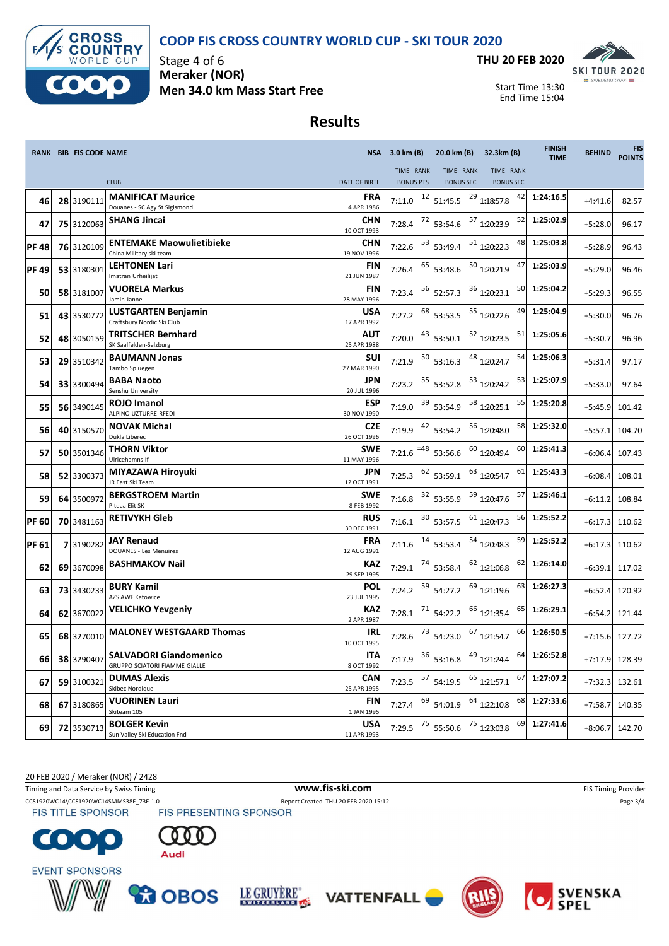



Stage 4 of 6 **Meraker (NOR) Men 34.0 km Mass Start Free**



Start Time 13:30 End Time 15:04

## **Results**

|              | <b>RANK BIB FIS CODE NAME</b> |                                                                       |                           | NSA 3.0 km (B)            | 20.0 km (B)                        | 32.3km (B)                      | <b>FINISH</b><br><b>TIME</b> | <b>BEHIND</b> | <b>FIS</b><br><b>POINTS</b> |
|--------------|-------------------------------|-----------------------------------------------------------------------|---------------------------|---------------------------|------------------------------------|---------------------------------|------------------------------|---------------|-----------------------------|
|              |                               |                                                                       |                           | TIME RANK                 | TIME RANK                          | TIME RANK                       |                              |               |                             |
|              |                               | <b>CLUB</b>                                                           | <b>DATE OF BIRTH</b>      | <b>BONUS PTS</b>          | <b>BONUS SEC</b>                   | <b>BONUS SEC</b>                |                              |               |                             |
| 46           | 28 3190111                    | <b>MANIFICAT Maurice</b><br>Douanes - SC Agy St Sigismond             | <b>FRA</b><br>4 APR 1986  | 12<br>7:11.0              | 29<br>51:45.5                      | 42<br>1:18:57.8                 | 1:24:16.5                    | $+4:41.6$     | 82.57                       |
| 47           | 75 3120063                    | <b>SHANG Jincai</b>                                                   | CHN<br>10 OCT 1993        | 72<br>7:28.4              | 53:54.6                            | 57 1:20:23.9<br>52              | 1:25:02.9                    | $+5:28.0$     | 96.17                       |
| <b>PF48</b>  | 76 3120109                    | <b>ENTEMAKE Maowulietibieke</b><br>China Military ski team            | <b>CHN</b><br>19 NOV 1996 | 53<br>7:22.6              | 53:49.4                            | $51$ 1:20:22.3<br>48            | 1:25:03.8                    | $+5:28.9$     | 96.43                       |
| <b>PF49</b>  | 53 3180301                    | <b>LEHTONEN Lari</b><br>Imatran Urheilijat                            | <b>FIN</b><br>21 JUN 1987 | 65<br>7:26.4              | 53:48.6                            | $50$ <sub>1:20:21.9</sub><br>47 | 1:25:03.9                    | $+5:29.0$     | 96.46                       |
| 50           | 58 3181007                    | <b>VUORELA Markus</b><br>Jamin Janne                                  | FIN<br>28 MAY 1996        | 56<br>7:23.4              | 52:57.3                            | $36$ 1:20:23.1<br>50            | 1:25:04.2                    | $+5:29.3$     | 96.55                       |
| 51           | 43 3530772                    | LUSTGARTEN Benjamin<br>Craftsbury Nordic Ski Club                     | USA<br>17 APR 1992        | 68<br>7:27.2              | 53:53.5                            | $55$ 1:20:22.6<br>49            | 1:25:04.9                    | $+5:30.0$     | 96.76                       |
| 52           | 48 3050159                    | TRITSCHER Bernhard<br>SK Saalfelden-Salzburg                          | AUT<br>25 APR 1988        | 43<br>7:20.0              | 53:50.1                            | 52 1:20:23.5<br>51              | 1:25:05.6                    | $+5:30.7$     | 96.96                       |
| 53           | 29 3510342                    | <b>BAUMANN Jonas</b><br>Tambo Spluegen                                | <b>SUI</b><br>27 MAR 1990 | 50<br>7:21.9              | 53:16.3                            | 48 1:20:24.7<br>54              | 1:25:06.3                    | $+5:31.4$     | 97.17                       |
| 54           | 33 3300494                    | <b>BABA Naoto</b><br>Senshu University                                | <b>JPN</b><br>20 JUL 1996 | 55<br>7:23.2              | 53:52.8                            | 53<br>$53$ 1:20:24.2            | 1:25:07.9                    | $+5:33.0$     | 97.64                       |
| 55           | 56 3490145                    | ROJO Imanol<br>ALPINO UZTURRE-RFEDI                                   | <b>ESP</b><br>30 NOV 1990 | 39<br>7:19.0              | 53:54.9                            | $58$ <sub>1:20:25.1</sub><br>55 | 1:25:20.8                    | $+5:45.9$     | 101.42                      |
| 56           | 40 3150570                    | <b>NOVAK Michal</b><br>Dukla Liberec                                  | <b>CZE</b><br>26 OCT 1996 | 42<br>7:19.9              | 53:54.2                            | 56 1:20:48.0<br>58              | 1:25:32.0                    | $+5:57.1$     | 104.70                      |
| 57           | 50 3501346                    | THORN Viktor<br>Ulricehamns If                                        | <b>SWE</b><br>11 MAY 1996 | $=48$<br>7:21.6           | 53:56.6                            | $60$ <sub>1:20:49.4</sub><br>60 | 1:25:41.3                    | $+6:06.4$     | 107.43                      |
| 58           | 52 3300373                    | MIYAZAWA Hiroyuki<br>JR East Ski Team                                 | JPN<br>12 OCT 1991        | 62<br>7:25.3              | 53:59.1                            | $63$ <sub>1:20:54.7</sub><br>61 | 1:25:43.3                    | $+6:08.4$     | 108.01                      |
| 59           | 64 3500972                    | <b>BERGSTROEM Martin</b><br>Piteaa Elit SK                            | <b>SWE</b><br>8 FEB 1992  | 32<br>7:16.8              | 53:55.9                            | 59 1:20:47.6<br>57              | 1:25:46.1                    | $+6:11.2$     | 108.84                      |
| <b>PF 60</b> | 70 3481163                    | <b>RETIVYKH Gleb</b>                                                  | <b>RUS</b><br>30 DEC 1991 | 30 <sub>1</sub><br>7:16.1 | 53:57.5                            | 56<br>$61$ <sub>1:20:47.3</sub> | 1:25:52.2                    | $+6:17.3$     | 110.62                      |
| <b>PF 61</b> | 7 3190282                     | <b>JAY Renaud</b><br><b>DOUANES - Les Menuires</b>                    | FRA<br>12 AUG 1991        | 14<br>7:11.6              | 53:53.4                            | $54$ 1:20:48.3<br>59            | 1:25:52.2                    | $+6:17.3$     | 110.62                      |
| 62           | 69 3670098                    | <b>BASHMAKOV Nail</b>                                                 | <b>KAZ</b><br>29 SEP 1995 | 74<br>7:29.1              | 53:58.4                            | $62$ <sub>1:21:06.8</sub><br>62 | 1:26:14.0                    | $+6:39.1$     | 117.02                      |
| 63           | 73 3430233                    | <b>BURY Kamil</b><br>AZS AWF Katowice                                 | POL<br>23 JUL 1995        | 59<br>7:24.2              | 54:27.2                            | $^{69}$ 1:21:19.6<br>63         | 1:26:27.3                    | $+6:52.4$     | 120.92                      |
| 64           | 62 3670022                    | <b>VELICHKO Yevgeniy</b>                                              | KAZ<br>2 APR 1987         | 71<br>7:28.1              | 54:22.2                            | 65<br>$^{66}$ 1:21:35.4         | 1:26:29.1                    | $+6:54.2$     | 121.44                      |
| 65           | 68 3270010                    | <b>MALONEY WESTGAARD Thomas</b>                                       | IRL<br>10 OCT 1995        | 73<br>7:28.6              | 54:23.0                            | $^{67}$ 1:21:54.7<br>66         | 1:26:50.5                    | $+7:15.6$     | 127.72                      |
| 66           | 38 3290407                    | <b>SALVADORI Giandomenico</b><br><b>GRUPPO SCIATORI FIAMME GIALLE</b> | ITA<br>8 OCT 1992         |                           | 7:17.9 $36$ 53:16.8 $49$ 1:21:24.4 | 64                              | 1:26:52.8                    |               | +7:17.9 128.39              |
| 67           | 59 3100321                    | <b>DUMAS Alexis</b><br>Skibec Nordique                                | <b>CAN</b><br>25 APR 1995 | 7:23.5 $57$ 54:19.5       |                                    | $65$ 1:21:57.1<br>67            | 1:27:07.2                    | $+7:32.3$     | 132.61                      |
| 68           | 67 3180865                    | <b>VUORINEN Lauri</b><br>Skiteam 105                                  | FIN<br>1 JAN 1995         | 69<br>7:27.4              | 54:01.9                            | 68<br>$64$ <sub>1:22:10.8</sub> | 1:27:33.6                    | $+7:58.7$     | 140.35                      |
| 69           | 72 3530713                    | <b>BOLGER Kevin</b><br>Sun Valley Ski Education Fnd                   | <b>USA</b><br>11 APR 1993 | 75<br>7:29.5              | 55:50.6                            | 69<br>$75$ 1:23:03.8            | 1:27:41.6                    | $+8:06.7$     | 142.70                      |

20 FEB 2020 / Meraker (NOR) / 2428

Timing and Data Service by Swiss Timing **WWW.fis-Ski.com WWW.fis-Ski.com** FIS Timing Provider

CCS1920WC14\CCS1920WC14SMMS38F\_73E 1.0 Report Created THU 20 FEB 2020 15:12 Page 3/4<br>
FIS TITLE SPONSOR FIS PRESENTING SPONSOR



**FIS TITLE SPONSOR**